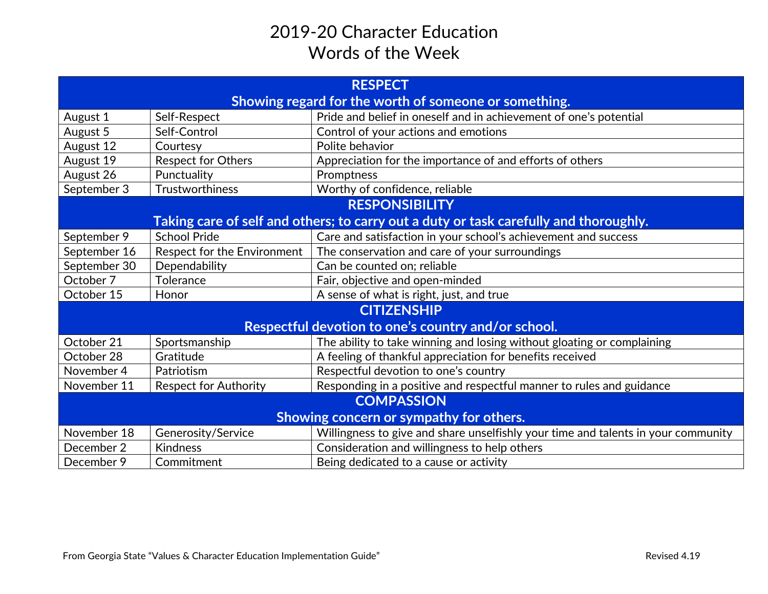## 2019-20 Character Education Words of the Week

| <b>RESPECT</b>                                                                        |                              |                                                                                   |  |
|---------------------------------------------------------------------------------------|------------------------------|-----------------------------------------------------------------------------------|--|
| Showing regard for the worth of someone or something.                                 |                              |                                                                                   |  |
| August 1                                                                              | Self-Respect                 | Pride and belief in oneself and in achievement of one's potential                 |  |
| August 5                                                                              | Self-Control                 | Control of your actions and emotions                                              |  |
| August 12                                                                             | Courtesy                     | Polite behavior                                                                   |  |
| August 19                                                                             | Respect for Others           | Appreciation for the importance of and efforts of others                          |  |
| August 26                                                                             | Punctuality                  | Promptness                                                                        |  |
| September 3                                                                           | Trustworthiness              | Worthy of confidence, reliable                                                    |  |
| <b>RESPONSIBILITY</b>                                                                 |                              |                                                                                   |  |
| Taking care of self and others; to carry out a duty or task carefully and thoroughly. |                              |                                                                                   |  |
| September 9                                                                           | <b>School Pride</b>          | Care and satisfaction in your school's achievement and success                    |  |
| September 16                                                                          | Respect for the Environment  | The conservation and care of your surroundings                                    |  |
| September 30                                                                          | Dependability                | Can be counted on; reliable                                                       |  |
| October 7                                                                             | Tolerance                    | Fair, objective and open-minded                                                   |  |
| October 15                                                                            | Honor                        | A sense of what is right, just, and true                                          |  |
| <b>CITIZENSHIP</b>                                                                    |                              |                                                                                   |  |
| Respectful devotion to one's country and/or school.                                   |                              |                                                                                   |  |
| October 21                                                                            | Sportsmanship                | The ability to take winning and losing without gloating or complaining            |  |
| October 28                                                                            | Gratitude                    | A feeling of thankful appreciation for benefits received                          |  |
| November 4                                                                            | Patriotism                   | Respectful devotion to one's country                                              |  |
| November 11                                                                           | <b>Respect for Authority</b> | Responding in a positive and respectful manner to rules and guidance              |  |
| <b>COMPASSION</b>                                                                     |                              |                                                                                   |  |
| Showing concern or sympathy for others.                                               |                              |                                                                                   |  |
| November 18                                                                           | Generosity/Service           | Willingness to give and share unselfishly your time and talents in your community |  |
| December 2                                                                            | <b>Kindness</b>              | Consideration and willingness to help others                                      |  |
| December 9                                                                            | Commitment                   | Being dedicated to a cause or activity                                            |  |